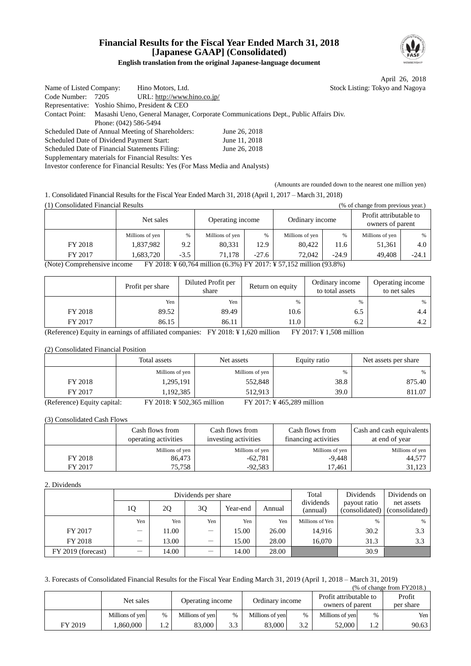# **Financial Results for the Fiscal Year Ended March 31, 2018 [Japanese GAAP] (Consolidated)**



# **English translation from the original Japanese-language document**

|                                                    |                             |                                                                                                   | April 26, 2018                  |
|----------------------------------------------------|-----------------------------|---------------------------------------------------------------------------------------------------|---------------------------------|
| Name of Listed Company:                            | Hino Motors, Ltd.           |                                                                                                   | Stock Listing: Tokyo and Nagoya |
| Code Number: 7205                                  | URL: http://www.hino.co.jp/ |                                                                                                   |                                 |
| Representative: Yoshio Shimo, President & CEO      |                             |                                                                                                   |                                 |
|                                                    |                             | Contact Point: Masashi Ueno, General Manager, Corporate Communications Dept., Public Affairs Div. |                                 |
| Phone: (042) 586-5494                              |                             |                                                                                                   |                                 |
| Scheduled Date of Annual Meeting of Shareholders:  |                             | June 26, 2018                                                                                     |                                 |
| Scheduled Date of Dividend Payment Start:          |                             | June 11, 2018                                                                                     |                                 |
| Scheduled Date of Financial Statements Filing:     |                             | June 26, 2018                                                                                     |                                 |
| Supplementary materials for Financial Results: Yes |                             |                                                                                                   |                                 |
|                                                    |                             |                                                                                                   |                                 |

Investor conference for Financial Results: Yes (For Mass Media and Analysts)

(Amounts are rounded down to the nearest one million yen)

1. Consolidated Financial Results for the Fiscal Year Ended March 31, 2018 (April 1, 2017 – March 31, 2018)

(1) Consolidated Financial Results (% of change from previous year.)

|                                                                                                   | Net sales       |        | Operating income |               | Ordinary income |         | Profit attributable to<br>owners of parent |         |  |  |
|---------------------------------------------------------------------------------------------------|-----------------|--------|------------------|---------------|-----------------|---------|--------------------------------------------|---------|--|--|
|                                                                                                   | Millions of yen | %      | Millions of yen  | $\frac{0}{6}$ | Millions of yen | %       | Millions of yen                            | %       |  |  |
| FY 2018                                                                                           | 1,837,982       | 9.2    | 80,331           | 12.9          | 80.422          | 11.6    | 51,361                                     | 4.0     |  |  |
| FY 2017                                                                                           | 1.683.720       | $-3.5$ | 71.178           | $-27.6$       | 72.042          | $-24.9$ | 49.408                                     | $-24.1$ |  |  |
| FY 2018: ¥ 60,764 million (6.3%) FY 2017: ¥ 57,152 million (93.8%)<br>(Note) Comprehensive income |                 |        |                  |               |                 |         |                                            |         |  |  |

|         | Profit per share | Diluted Profit per<br>share | Return on equity | Ordinary income<br>to total assets | Operating income<br>to net sales |
|---------|------------------|-----------------------------|------------------|------------------------------------|----------------------------------|
|         | Yen              | Yen                         | $\%$             | $\%$                               | %                                |
| FY 2018 | 89.52            | 89.49                       | 10.6             | 6.5                                | 4.4                              |
| FY 2017 | 86.15            | 86.11                       | 11.0             | 6.2                                | 4.2                              |

(Reference) Equity in earnings of affiliated companies: FY 2018: ¥ 1,620 million FY 2017: ¥ 1,508 million

## (2) Consolidated Financial Position

|                             | Total assets               | Net assets      | Equity ratio              | Net assets per share |
|-----------------------------|----------------------------|-----------------|---------------------------|----------------------|
|                             | Millions of yen            | Millions of yen | %                         | %                    |
| FY 2018                     | 1,295,191                  | 552,848         | 38.8                      | 875.40               |
| FY 2017                     | 1,192,385                  | 512.913         | <b>39.0</b>               | 811.07               |
| (Reference) Equity capital: | FY 2018: ¥ 502,365 million |                 | FY 2017: ¥465,289 million |                      |

(3) Consolidated Cash Flows

|         | Cash flows from<br>operating activities | Cash flows from<br>investing activities | Cash flows from<br>financing activities | Cash and cash equivalents<br>at end of year |  |
|---------|-----------------------------------------|-----------------------------------------|-----------------------------------------|---------------------------------------------|--|
|         | Millions of yen                         | Millions of yen                         | Millions of yen                         | Millions of yen                             |  |
| FY 2018 | 86.473                                  | $-62,781$                               | $-9.448$                                | 44,577                                      |  |
| FY 2017 | 75.758                                  | $-92.583$                               | 17.461                                  | 31.123                                      |  |

#### 2. Dividends

|                    |                                |       | Dividends per share             | Total    | Dividends | Dividends on          |                                |                              |  |
|--------------------|--------------------------------|-------|---------------------------------|----------|-----------|-----------------------|--------------------------------|------------------------------|--|
|                    | 1Q                             | 2Q    | 30                              | Year-end | Annual    | dividends<br>(annual) | payout ratio<br>(consolidated) | net assets<br>(consolidated) |  |
|                    | Yen                            | Yen   | Yen                             | Yen      | Yen       | Millions of Yen       | %                              | $\%$                         |  |
| FY 2017            | $\qquad \qquad -$              | 11.00 | $\overline{\phantom{0}}$        | 15.00    | 26.00     | 14.916                | 30.2                           | 3.3                          |  |
| FY 2018            | —                              | 13.00 | $\hspace{0.1mm}-\hspace{0.1mm}$ | 15.00    | 28.00     | 16.070                | 31.3                           | 3.3                          |  |
| FY 2019 (forecast) | $\qquad \qquad \longleftarrow$ | 14.00 | $\overline{\phantom{0}}$        | 14.00    | 28.00     |                       | 30.9                           |                              |  |

## 3. Forecasts of Consolidated Financial Results for the Fiscal Year Ending March 31, 2019 (April 1, 2018 – March 31, 2019)

(% of change from FY2018.)

|         | Net sales       |                              | Operating income |     | Ordinary income |                 | Profit attributable to<br>owners of parent |                | Profit<br>per share |
|---------|-----------------|------------------------------|------------------|-----|-----------------|-----------------|--------------------------------------------|----------------|---------------------|
|         | Millions of yen | $\frac{0}{0}$                | Millions of yen  | %   | Millions of yen | $\frac{0}{0}$   | Millions of yen                            | $\%$           | Yen l               |
| FY 2019 | .860.000        | $\sqrt{ }$<br>$\cdot$ $\sim$ | 83,000           | 3.3 | 83,000          | $\Omega$<br>J.Z | 52.000                                     | $\sqrt{2}$<br> | 90.63               |